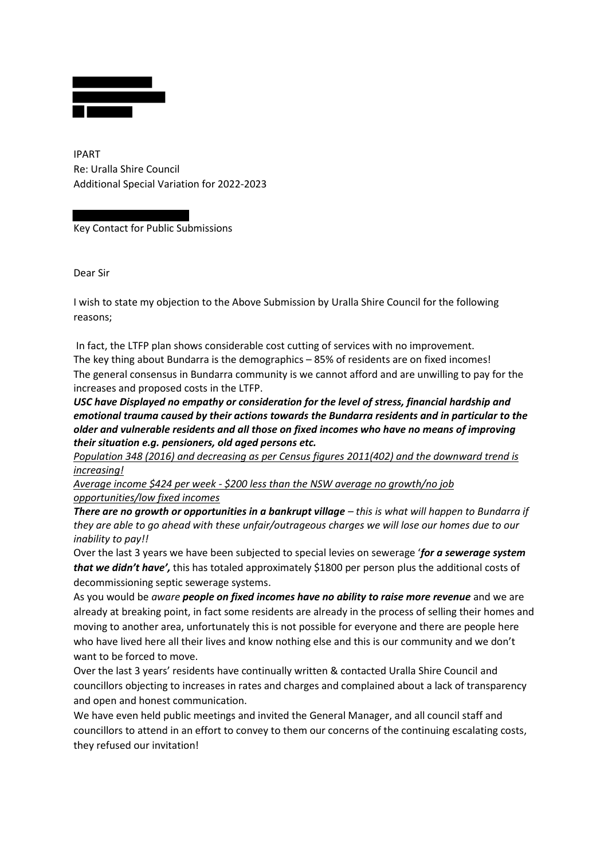

IPART Re: Uralla Shire Council Additional Special Variation for 2022-2023

Key Contact for Public Submissions

Dear Sir

I wish to state my objection to the Above Submission by Uralla Shire Council for the following reasons;

In fact, the LTFP plan shows considerable cost cutting of services with no improvement. The key thing about Bundarra is the demographics – 85% of residents are on fixed incomes!

The general consensus in Bundarra community is we cannot afford and are unwilling to pay for the increases and proposed costs in the LTFP.

USC have Displayed no empathy or consideration for the level of stress, financial hardship and *emotional trauma caused by their actions towards the Bundarra residents and in particular to the older and vulnerable residents and all those on fixed incomes who have no means of improving their situation e.g. pensioners, old aged persons etc.*

*Population 348 (2016) and decreasing as per Census figures 2011(402) and the downward trend is increasing!* 

*Average income \$424 per week - \$200 less than the NSW average no growth/no job opportunities/low fixed incomes* 

**There are no growth or opportunities in a bankrupt village – this is what will happen to Bundarra if** *they are able to go ahead with these unfair/outrageous charges we will lose our homes due to our inability to pay!!* 

Over the last 3 years we have been subjected to special levies on sewerage '*for a sewerage system that we didn't have',* this has totaled approximately \$1800 per person plus the additional costs of decommissioning septic sewerage systems.

As you would be *aware people on fixed incomes have no ability to raise more revenue* and we are already at breaking point, in fact some residents are already in the process of selling their homes and moving to another area, unfortunately this is not possible for everyone and there are people here who have lived here all their lives and know nothing else and this is our community and we don't want to be forced to move.

Over the last 3 years' residents have continually written & contacted Uralla Shire Council and councillors objecting to increases in rates and charges and complained about a lack of transparency and open and honest communication.

We have even held public meetings and invited the General Manager, and all council staff and councillors to attend in an effort to convey to them our concerns of the continuing escalating costs, they refused our invitation!